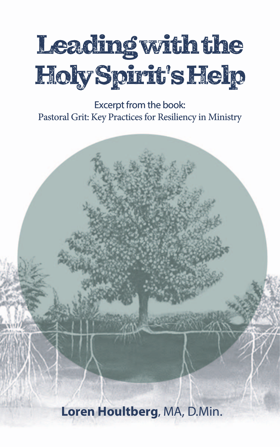

Excerpt from the book: Pastoral Grit: Key Practices for Resiliency in Ministry

**Loren Houltberg,** MA, D.Min.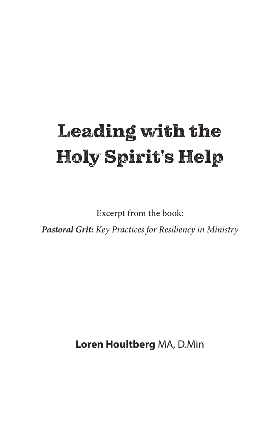# Leading with the Holy Spirit's Help

Excerpt from the book:

*Pastoral Grit: Key Practices for Resiliency in Ministry*

**Loren Houltberg** MA, D.Min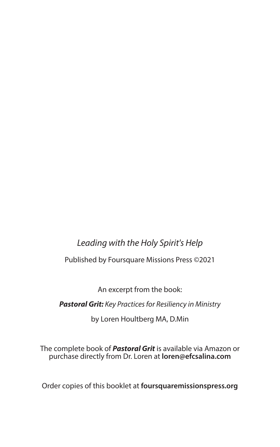#### Leading with the Holy Spirit's Help

Published by Foursquare Missions Press ©2021

An excerpt from the book:

**Pastoral Grit:** Key Practices for Resiliency in Ministry

by Loren Houltberg MA, D.Min

The complete book of **Pastoral Grit** is available via Amazon or purchase directly from Dr. Loren at **loren@efcsalina.com**

Order copies of this booklet at **foursquaremissionspress.org**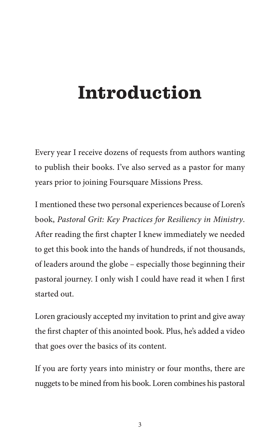### **Introduction**

Every year I receive dozens of requests from authors wanting to publish their books. I've also served as a pastor for many years prior to joining Foursquare Missions Press.

I mentioned these two personal experiences because of Loren's book, *Pastoral Grit: Key Practices for Resiliency in Ministry*. After reading the first chapter I knew immediately we needed to get this book into the hands of hundreds, if not thousands, of leaders around the globe – especially those beginning their pastoral journey. I only wish I could have read it when I first started out.

Loren graciously accepted my invitation to print and give away the first chapter of this anointed book. Plus, he's added a video that goes over the basics of its content.

If you are forty years into ministry or four months, there are nuggets to be mined from his book. Loren combines his pastoral

3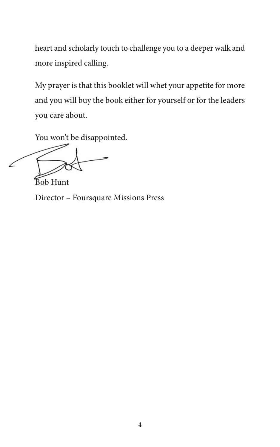heart and scholarly touch to challenge you to a deeper walk and more inspired calling.

My prayer is that this booklet will whet your appetite for more and you will buy the book either for yourself or for the leaders you care about.

You won't be disappointed.

Bob Hunt

Director – Foursquare Missions Press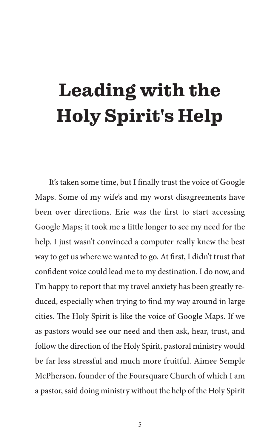## **Leading with the Holy Spirit's Help**

It's taken some time, but I finally trust the voice of Google Maps. Some of my wife's and my worst disagreements have been over directions. Erie was the first to start accessing Google Maps; it took me a little longer to see my need for the help. I just wasn't convinced a computer really knew the best way to get us where we wanted to go. At first, I didn't trust that confident voice could lead me to my destination. I do now, and I'm happy to report that my travel anxiety has been greatly reduced, especially when trying to find my way around in large cities. The Holy Spirit is like the voice of Google Maps. If we as pastors would see our need and then ask, hear, trust, and follow the direction of the Holy Spirit, pastoral ministry would be far less stressful and much more fruitful. Aimee Semple McPherson, founder of the Foursquare Church of which I am a pastor, said doing ministry without the help of the Holy Spirit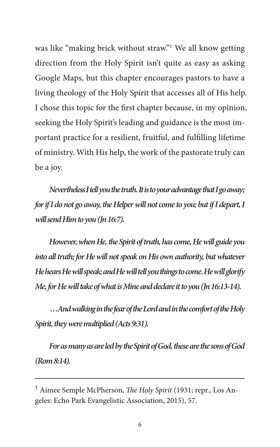was like "making brick without straw."1 We all know getting direction from the Holy Spirit isn't quite as easy as asking Google Maps, but this chapter encourages pastors to have a living theology of the Holy Spirit that accesses all of His help. I chose this topic for the first chapter because, in my opinion, seeking the Holy Spirit's leading and guidance is the most important practice for a resilient, fruitful, and fulfilling lifetime of ministry. With His help, the work of the pastorate truly can be a joy.

*Nevertheless I tell you the truth. It is to your advantage that I go away; for if I do not go away, the Helper will not come to you; but if I depart, I will send Him to you (Jn 16:7).*

*However, when He, the Spirit of truth, has come, He will guide you into all truth; for He will not speak on His own authority, but whatever He hears He will speak; and He will tell you things to come. He will glorify Me, for He will take of what is Mine and declare it to you (Jn 16:13-14).*

 *…And walking in the fear of the Lord and in the comfort of the Holy Spirit, they were multiplied (Acts 9:31).*

*For as many as are led by the Spirit of God, these are the sons of God (Rom 8:14).*

<sup>1</sup> Aimee Semple McPherson, *The Holy Spirit* (1931; repr., Los Angeles: Echo Park Evangelistic Association, 2015), 57.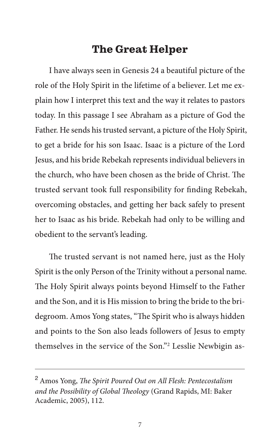#### **The Great Helper**

I have always seen in Genesis 24 a beautiful picture of the role of the Holy Spirit in the lifetime of a believer. Let me explain how I interpret this text and the way it relates to pastors today. In this passage I see Abraham as a picture of God the Father. He sends his trusted servant, a picture of the Holy Spirit, to get a bride for his son Isaac. Isaac is a picture of the Lord Jesus, and his bride Rebekah represents individual believers in the church, who have been chosen as the bride of Christ. The trusted servant took full responsibility for finding Rebekah, overcoming obstacles, and getting her back safely to present her to Isaac as his bride. Rebekah had only to be willing and obedient to the servant's leading.

The trusted servant is not named here, just as the Holy Spirit is the only Person of the Trinity without a personal name. The Holy Spirit always points beyond Himself to the Father and the Son, and it is His mission to bring the bride to the bridegroom. Amos Yong states, "The Spirit who is always hidden and points to the Son also leads followers of Jesus to empty themselves in the service of the Son."<sup>2</sup> Lesslie Newbigin as-

<sup>2</sup> Amos Yong, *The Spirit Poured Out on All Flesh: Pentecostalism and the Possibility of Global Theology* (Grand Rapids, MI: Baker Academic, 2005), 112.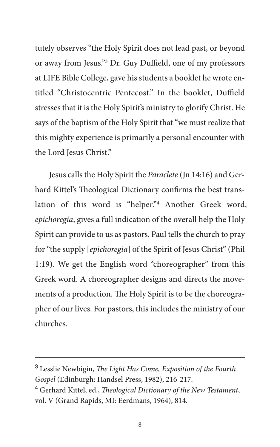tutely observes "the Holy Spirit does not lead past, or beyond or away from Jesus."3 Dr. Guy Duffield, one of my professors at LIFE Bible College, gave his students a booklet he wrote entitled "Christocentric Pentecost." In the booklet, Duffield stresses that it is the Holy Spirit's ministry to glorify Christ. He says of the baptism of the Holy Spirit that "we must realize that this mighty experience is primarily a personal encounter with the Lord Jesus Christ."

Jesus calls the Holy Spirit the *Paraclete* (Jn 14:16) and Gerhard Kittel's Theological Dictionary confirms the best translation of this word is "helper."4 Another Greek word, *epichoregia*, gives a full indication of the overall help the Holy Spirit can provide to us as pastors. Paul tells the church to pray for "the supply [*epichoregia*] of the Spirit of Jesus Christ" (Phil 1:19). We get the English word "choreographer" from this Greek word. A choreographer designs and directs the movements of a production. The Holy Spirit is to be the choreographer of our lives. For pastors, this includes the ministry of our churches.

<sup>3</sup> Lesslie Newbigin, *The Light Has Come, Exposition of the Fourth Gospel* (Edinburgh: Handsel Press, 1982), 216-217.

<sup>4</sup> Gerhard Kittel, ed., *Theological Dictionary of the New Testament*, vol. V (Grand Rapids, MI: Eerdmans, 1964), 814.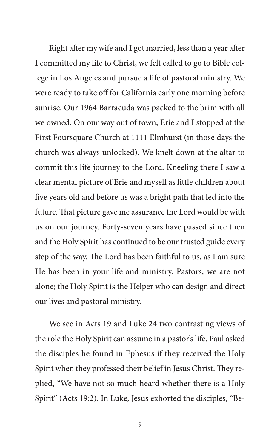Right after my wife and I got married, less than a year after I committed my life to Christ, we felt called to go to Bible college in Los Angeles and pursue a life of pastoral ministry. We were ready to take off for California early one morning before sunrise. Our 1964 Barracuda was packed to the brim with all we owned. On our way out of town, Erie and I stopped at the First Foursquare Church at 1111 Elmhurst (in those days the church was always unlocked). We knelt down at the altar to commit this life journey to the Lord. Kneeling there I saw a clear mental picture of Erie and myself as little children about five years old and before us was a bright path that led into the future. That picture gave me assurance the Lord would be with us on our journey. Forty-seven years have passed since then and the Holy Spirit has continued to be our trusted guide every step of the way. The Lord has been faithful to us, as I am sure He has been in your life and ministry. Pastors, we are not alone; the Holy Spirit is the Helper who can design and direct our lives and pastoral ministry.

We see in Acts 19 and Luke 24 two contrasting views of the role the Holy Spirit can assume in a pastor's life. Paul asked the disciples he found in Ephesus if they received the Holy Spirit when they professed their belief in Jesus Christ. They replied, "We have not so much heard whether there is a Holy Spirit" (Acts 19:2). In Luke, Jesus exhorted the disciples, "Be-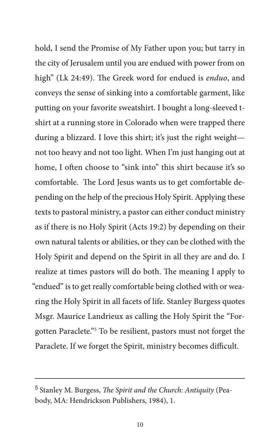hold, I send the Promise of My Father upon you; but tarry in the city of Jerusalem until you are endued with power from on high" (Lk 24:49). The Greek word for endued is *enduo*, and conveys the sense of sinking into a comfortable garment, like putting on your favorite sweatshirt. I bought a long-sleeved tshirt at a running store in Colorado when were trapped there during a blizzard. I love this shirt; it's just the right weight not too heavy and not too light. When I'm just hanging out at home, I often choose to "sink into" this shirt because it's so comfortable. The Lord Jesus wants us to get comfortable depending on the help of the precious Holy Spirit. Applying these texts to pastoral ministry, a pastor can either conduct ministry as if there is no Holy Spirit (Acts 19:2) by depending on their own natural talents or abilities, or they can be clothed with the Holy Spirit and depend on the Spirit in all they are and do. I realize at times pastors will do both. The meaning I apply to "endued" is to get really comfortable being clothed with or wearing the Holy Spirit in all facets of life. Stanley Burgess quotes Msgr. Maurice Landrieux as calling the Holy Spirit the "Forgotten Paraclete."5 To be resilient, pastors must not forget the Paraclete. If we forget the Spirit, ministry becomes difficult.

<sup>5</sup> Stanley M. Burgess, *The Spirit and the Church: Antiquity* (Peabody, MA: Hendrickson Publishers, 1984), 1.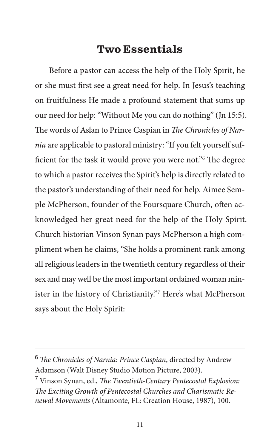#### **Two Essentials**

Before a pastor can access the help of the Holy Spirit, he or she must first see a great need for help. In Jesus's teaching on fruitfulness He made a profound statement that sums up our need for help: "Without Me you can do nothing" (Jn 15:5). The words of Aslan to Prince Caspian in *The Chronicles of Narnia* are applicable to pastoral ministry: "If you felt yourself sufficient for the task it would prove you were not."<sup>6</sup> The degree to which a pastor receives the Spirit's help is directly related to the pastor's understanding of their need for help. Aimee Semple McPherson, founder of the Foursquare Church, often acknowledged her great need for the help of the Holy Spirit. Church historian Vinson Synan pays McPherson a high compliment when he claims, "She holds a prominent rank among all religious leaders in the twentieth century regardless of their sex and may well be the most important ordained woman minister in the history of Christianity."7 Here's what McPherson says about the Holy Spirit:

<sup>6</sup> *The Chronicles of Narnia: Prince Caspian*, directed by Andrew Adamson (Walt Disney Studio Motion Picture, 2003).

<sup>7</sup> Vinson Synan, ed., *The Twentieth-Century Pentecostal Explosion: The Exciting Growth of Pentecostal Churches and Charismatic Renewal Movements* (Altamonte, FL: Creation House, 1987), 100.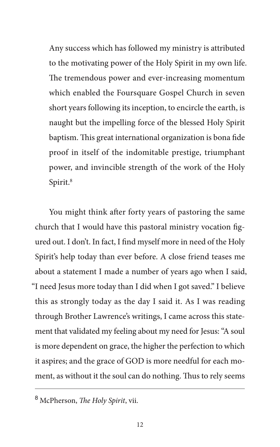Any success which has followed my ministry is attributed to the motivating power of the Holy Spirit in my own life. The tremendous power and ever-increasing momentum which enabled the Foursquare Gospel Church in seven short years following its inception, to encircle the earth, is naught but the impelling force of the blessed Holy Spirit baptism. This great international organization is bona fide proof in itself of the indomitable prestige, triumphant power, and invincible strength of the work of the Holy Spirit.<sup>8</sup>

You might think after forty years of pastoring the same church that I would have this pastoral ministry vocation figured out. I don't. In fact, I find myself more in need of the Holy Spirit's help today than ever before. A close friend teases me about a statement I made a number of years ago when I said, "I need Jesus more today than I did when I got saved." I believe this as strongly today as the day I said it. As I was reading through Brother Lawrence's writings, I came across this statement that validated my feeling about my need for Jesus: "A soul is more dependent on grace, the higher the perfection to which it aspires; and the grace of GOD is more needful for each moment, as without it the soul can do nothing. Thus to rely seems

<sup>8</sup> McPherson, *The Holy Spirit*, vii.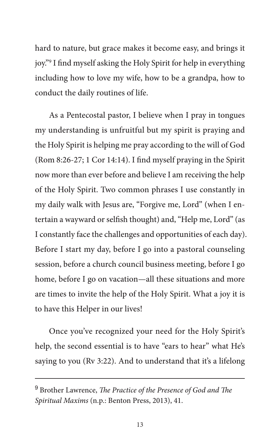hard to nature, but grace makes it become easy, and brings it joy."9 I find myself asking the Holy Spirit for help in everything including how to love my wife, how to be a grandpa, how to conduct the daily routines of life.

As a Pentecostal pastor, I believe when I pray in tongues my understanding is unfruitful but my spirit is praying and the Holy Spirit is helping me pray according to the will of God (Rom 8:26-27; 1 Cor 14:14). I find myself praying in the Spirit now more than ever before and believe I am receiving the help of the Holy Spirit. Two common phrases I use constantly in my daily walk with Jesus are, "Forgive me, Lord" (when I entertain a wayward or selfish thought) and, "Help me, Lord" (as I constantly face the challenges and opportunities of each day). Before I start my day, before I go into a pastoral counseling session, before a church council business meeting, before I go home, before I go on vacation—all these situations and more are times to invite the help of the Holy Spirit. What a joy it is to have this Helper in our lives!

Once you've recognized your need for the Holy Spirit's help, the second essential is to have "ears to hear" what He's saying to you (Rv 3:22). And to understand that it's a lifelong

<sup>9</sup> Brother Lawrence, *The Practice of the Presence of God and The Spiritual Maxims* (n.p.: Benton Press, 2013), 41.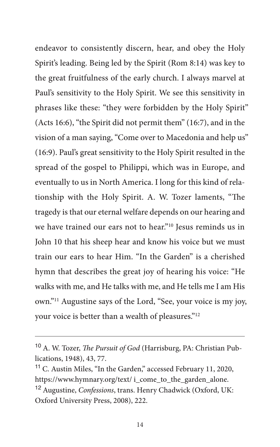endeavor to consistently discern, hear, and obey the Holy Spirit's leading. Being led by the Spirit (Rom 8:14) was key to the great fruitfulness of the early church. I always marvel at Paul's sensitivity to the Holy Spirit. We see this sensitivity in phrases like these: "they were forbidden by the Holy Spirit" (Acts 16:6), "the Spirit did not permit them" (16:7), and in the vision of a man saying, "Come over to Macedonia and help us" (16:9). Paul's great sensitivity to the Holy Spirit resulted in the spread of the gospel to Philippi, which was in Europe, and eventually to us in North America. I long for this kind of relationship with the Holy Spirit. A. W. Tozer laments, "The tragedy is that our eternal welfare depends on our hearing and we have trained our ears not to hear."10 Jesus reminds us in John 10 that his sheep hear and know his voice but we must train our ears to hear Him. "In the Garden" is a cherished hymn that describes the great joy of hearing his voice: "He walks with me, and He talks with me, and He tells me I am His own."11 Augustine says of the Lord, "See, your voice is my joy, your voice is better than a wealth of pleasures."12

 $11$  C. Austin Miles, "In the Garden," accessed February 11, 2020, https://www.hymnary.org/text/ i\_come\_to\_the\_garden\_alone. <sup>12</sup> Augustine, *Confessions*, trans. Henry Chadwick (Oxford, UK: Oxford University Press, 2008), 222.

<sup>10</sup> A. W. Tozer, *The Pursuit of God* (Harrisburg, PA: Christian Publications, 1948), 43, 77.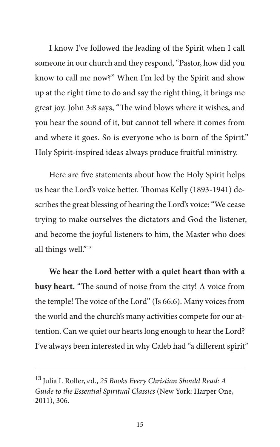I know I've followed the leading of the Spirit when I call someone in our church and they respond, "Pastor, how did you know to call me now?" When I'm led by the Spirit and show up at the right time to do and say the right thing, it brings me great joy. John 3:8 says, "The wind blows where it wishes, and you hear the sound of it, but cannot tell where it comes from and where it goes. So is everyone who is born of the Spirit." Holy Spirit-inspired ideas always produce fruitful ministry.

Here are five statements about how the Holy Spirit helps us hear the Lord's voice better. Thomas Kelly (1893-1941) describes the great blessing of hearing the Lord's voice: "We cease trying to make ourselves the dictators and God the listener, and become the joyful listeners to him, the Master who does all things well."13

**We hear the Lord better with a quiet heart than with a busy heart.** "The sound of noise from the city! A voice from the temple! The voice of the Lord" (Is 66:6). Many voices from the world and the church's many activities compete for our attention. Can we quiet our hearts long enough to hear the Lord? I've always been interested in why Caleb had "a different spirit"

<sup>13</sup> Julia I. Roller, ed., *25 Books Every Christian Should Read: A Guide to the Essential Spiritual Classics* (New York: Harper One, 2011), 306.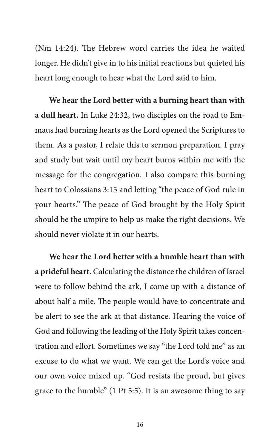(Nm 14:24). The Hebrew word carries the idea he waited longer. He didn't give in to his initial reactions but quieted his heart long enough to hear what the Lord said to him.

**We hear the Lord better with a burning heart than with a dull heart.** In Luke 24:32, two disciples on the road to Emmaus had burning hearts as the Lord opened the Scriptures to them. As a pastor, I relate this to sermon preparation. I pray and study but wait until my heart burns within me with the message for the congregation. I also compare this burning heart to Colossians 3:15 and letting "the peace of God rule in your hearts." The peace of God brought by the Holy Spirit should be the umpire to help us make the right decisions. We should never violate it in our hearts.

**We hear the Lord better with a humble heart than with a prideful heart.** Calculating the distance the children of Israel were to follow behind the ark, I come up with a distance of about half a mile. The people would have to concentrate and be alert to see the ark at that distance. Hearing the voice of God and following the leading of the Holy Spirit takes concentration and effort. Sometimes we say "the Lord told me" as an excuse to do what we want. We can get the Lord's voice and our own voice mixed up. "God resists the proud, but gives grace to the humble" (1 Pt 5:5). It is an awesome thing to say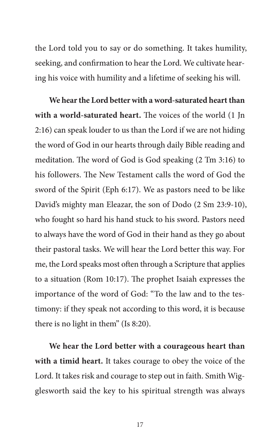the Lord told you to say or do something. It takes humility, seeking, and confirmation to hear the Lord. We cultivate hearing his voice with humility and a lifetime of seeking his will.

**We hear the Lord better with a word-saturated heart than with a world-saturated heart.** The voices of the world (1 Jn 2:16) can speak louder to us than the Lord if we are not hiding the word of God in our hearts through daily Bible reading and meditation. The word of God is God speaking (2 Tm 3:16) to his followers. The New Testament calls the word of God the sword of the Spirit (Eph 6:17). We as pastors need to be like David's mighty man Eleazar, the son of Dodo (2 Sm 23:9-10), who fought so hard his hand stuck to his sword. Pastors need to always have the word of God in their hand as they go about their pastoral tasks. We will hear the Lord better this way. For me, the Lord speaks most often through a Scripture that applies to a situation (Rom 10:17). The prophet Isaiah expresses the importance of the word of God: "To the law and to the testimony: if they speak not according to this word, it is because there is no light in them" (Is 8:20).

**We hear the Lord better with a courageous heart than with a timid heart.** It takes courage to obey the voice of the Lord. It takes risk and courage to step out in faith. Smith Wigglesworth said the key to his spiritual strength was always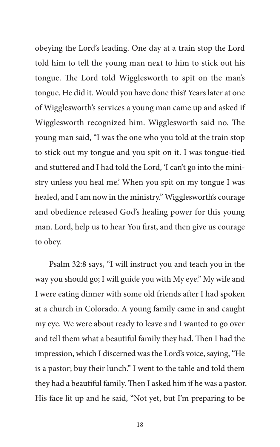obeying the Lord's leading. One day at a train stop the Lord told him to tell the young man next to him to stick out his tongue. The Lord told Wigglesworth to spit on the man's tongue. He did it. Would you have done this? Years later at one of Wigglesworth's services a young man came up and asked if Wigglesworth recognized him. Wigglesworth said no. The young man said, "I was the one who you told at the train stop to stick out my tongue and you spit on it. I was tongue-tied and stuttered and I had told the Lord, 'I can't go into the ministry unless you heal me.' When you spit on my tongue I was healed, and I am now in the ministry." Wigglesworth's courage and obedience released God's healing power for this young man. Lord, help us to hear You first, and then give us courage to obey.

Psalm 32:8 says, "I will instruct you and teach you in the way you should go; I will guide you with My eye." My wife and I were eating dinner with some old friends after I had spoken at a church in Colorado. A young family came in and caught my eye. We were about ready to leave and I wanted to go over and tell them what a beautiful family they had. Then I had the impression, which I discerned was the Lord's voice, saying, "He is a pastor; buy their lunch." I went to the table and told them they had a beautiful family. Then I asked him if he was a pastor. His face lit up and he said, "Not yet, but I'm preparing to be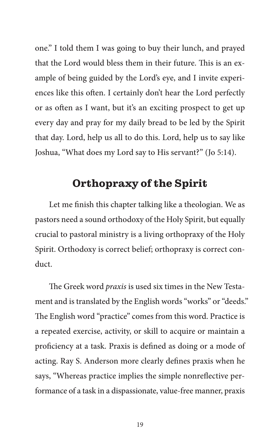one." I told them I was going to buy their lunch, and prayed that the Lord would bless them in their future. This is an example of being guided by the Lord's eye, and I invite experiences like this often. I certainly don't hear the Lord perfectly or as often as I want, but it's an exciting prospect to get up every day and pray for my daily bread to be led by the Spirit that day. Lord, help us all to do this. Lord, help us to say like Joshua, "What does my Lord say to His servant?" (Jo 5:14).

#### **Orthopraxy of the Spirit**

Let me finish this chapter talking like a theologian. We as pastors need a sound orthodoxy of the Holy Spirit, but equally crucial to pastoral ministry is a living orthopraxy of the Holy Spirit. Orthodoxy is correct belief; orthopraxy is correct conduct.

The Greek word *praxis* is used six times in the New Testament and is translated by the English words "works" or "deeds." The English word "practice" comes from this word. Practice is a repeated exercise, activity, or skill to acquire or maintain a proficiency at a task. Praxis is defined as doing or a mode of acting. Ray S. Anderson more clearly defines praxis when he says, "Whereas practice implies the simple nonreflective performance of a task in a dispassionate, value-free manner, praxis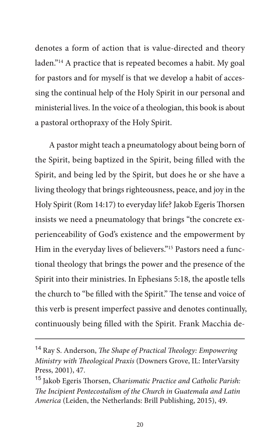denotes a form of action that is value-directed and theory laden."14 A practice that is repeated becomes a habit. My goal for pastors and for myself is that we develop a habit of accessing the continual help of the Holy Spirit in our personal and ministerial lives. In the voice of a theologian, this book is about a pastoral orthopraxy of the Holy Spirit.

A pastor might teach a pneumatology about being born of the Spirit, being baptized in the Spirit, being filled with the Spirit, and being led by the Spirit, but does he or she have a living theology that brings righteousness, peace, and joy in the Holy Spirit (Rom 14:17) to everyday life? Jakob Egeris Thorsen insists we need a pneumatology that brings "the concrete experienceability of God's existence and the empowerment by Him in the everyday lives of believers."15 Pastors need a functional theology that brings the power and the presence of the Spirit into their ministries. In Ephesians 5:18, the apostle tells the church to "be filled with the Spirit." The tense and voice of this verb is present imperfect passive and denotes continually, continuously being filled with the Spirit. Frank Macchia de-

<sup>14</sup> Ray S. Anderson, *The Shape of Practical Theology: Empowering Ministry with Theological Praxis* (Downers Grove, IL: InterVarsity Press, 2001), 47.

<sup>15</sup> Jakob Egeris Thorsen, *Charismatic Practice and Catholic Parish: The Incipient Pentecostalism of the Church in Guatemala and Latin America* (Leiden, the Netherlands: Brill Publishing, 2015), 49.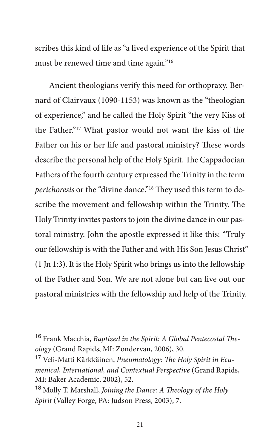scribes this kind of life as "a lived experience of the Spirit that must be renewed time and time again."16

Ancient theologians verify this need for orthopraxy. Bernard of Clairvaux (1090-1153) was known as the "theologian of experience," and he called the Holy Spirit "the very Kiss of the Father."17 What pastor would not want the kiss of the Father on his or her life and pastoral ministry? These words describe the personal help of the Holy Spirit. The Cappadocian Fathers of the fourth century expressed the Trinity in the term *perichoresis* or the "divine dance."18 They used this term to describe the movement and fellowship within the Trinity. The Holy Trinity invites pastors to join the divine dance in our pastoral ministry. John the apostle expressed it like this: "Truly our fellowship is with the Father and with His Son Jesus Christ" (1 Jn 1:3). It is the Holy Spirit who brings us into the fellowship of the Father and Son. We are not alone but can live out our pastoral ministries with the fellowship and help of the Trinity.

<sup>16</sup> Frank Macchia, *Baptized in the Spirit: A Global Pentecostal Theology* (Grand Rapids, MI: Zondervan, 2006), 30.

<sup>17</sup> Veli-Matti Kärkkäinen, *Pneumatology: The Holy Spirit in Ecumenical, International, and Contextual Perspective* (Grand Rapids, MI: Baker Academic, 2002), 52.

<sup>18</sup> Molly T. Marshall, *Joining the Dance: A Theology of the Holy Spirit* (Valley Forge, PA: Judson Press, 2003), 7.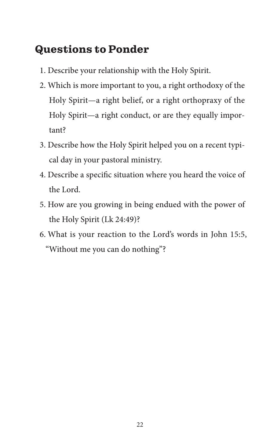#### **Questions to Ponder**

- 1. Describe your relationship with the Holy Spirit.
- 2. Which is more important to you, a right orthodoxy of the Holy Spirit—a right belief, or a right orthopraxy of the Holy Spirit—a right conduct, or are they equally important?
- 3. Describe how the Holy Spirit helped you on a recent typical day in your pastoral ministry.
- 4. Describe a specific situation where you heard the voice of the Lord.
- 5. How are you growing in being endued with the power of the Holy Spirit (Lk 24:49)?
- 6. What is your reaction to the Lord's words in John 15:5, "Without me you can do nothing"?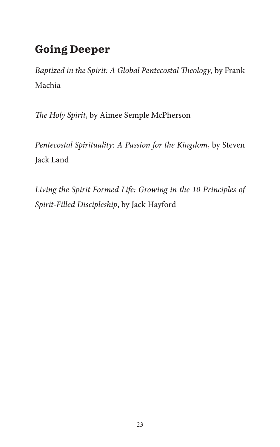#### **Going Deeper**

*Baptized in the Spirit: A Global Pentecostal Theology*, by Frank Machia

*The Holy Spirit*, by Aimee Semple McPherson

*Pentecostal Spirituality: A Passion for the Kingdom*, by Steven Jack Land

*Living the Spirit Formed Life: Growing in the 10 Principles of Spirit-Filled Discipleship*, by Jack Hayford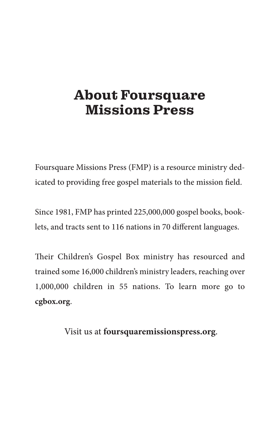### **About Foursquare Missions Press**

Foursquare Missions Press (FMP) is a resource ministry dedicated to providing free gospel materials to the mission field.

Since 1981, FMP has printed 225,000,000 gospel books, booklets, and tracts sent to 116 nations in 70 different languages.

Their Children's Gospel Box ministry has resourced and trained some 16,000 children's ministry leaders, reaching over 1,000,000 children in 55 nations. To learn more go to **cgbox.org**.

Visit us at **foursquaremissionspress.org**.